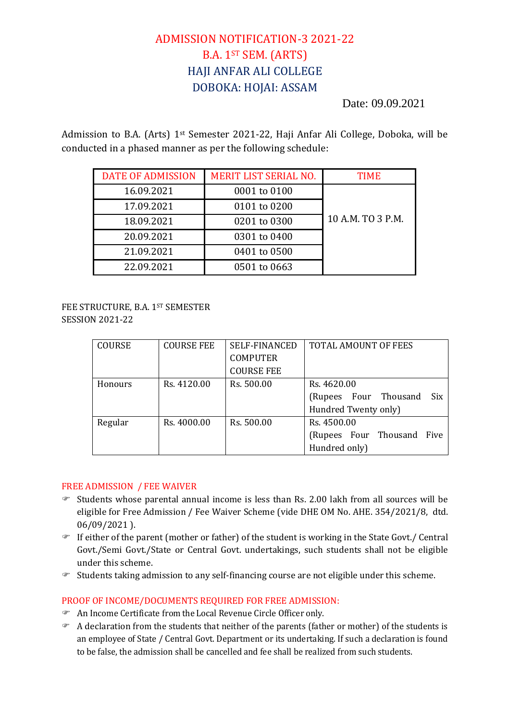# ADMISSION NOTIFICATION-3 2021-22 B.A. 1ST SEM. (ARTS) HAJI ANFAR ALI COLLEGE DOBOKA: HOJAI: ASSAM

Date: 09.09.2021

Admission to B.A. (Arts) 1st Semester 2021-22, Haji Anfar Ali College, Doboka, will be conducted in a phased manner as per the following schedule:

| <b>DATE OF ADMISSION</b> | <b>MERIT LIST SERIAL NO.</b> | <b>TIME</b>       |
|--------------------------|------------------------------|-------------------|
| 16.09.2021               | 0001 to 0100                 |                   |
| 17.09.2021               | 0101 to 0200                 |                   |
| 18.09.2021               | 0201 to 0300                 | 10 A.M. TO 3 P.M. |
| 20.09.2021               | 0301 to 0400                 |                   |
| 21.09.2021               | 0401 to 0500                 |                   |
| 22.09.2021               | 0501 to 0663                 |                   |

## FEE STRUCTURE, B.A. 1ST SEMESTER SESSION 2021-22

| <b>COURSE</b> | <b>COURSE FEE</b> | <b>SELF-FINANCED</b> | <b>TOTAL AMOUNT OF FEES</b> |
|---------------|-------------------|----------------------|-----------------------------|
|               |                   | <b>COMPUTER</b>      |                             |
|               |                   | <b>COURSE FEE</b>    |                             |
| Honours       | Rs. 4120.00       | Rs. 500.00           | Rs. 4620.00                 |
|               |                   |                      | (Rupees Four Thousand Six   |
|               |                   |                      | Hundred Twenty only)        |
| Regular       | Rs. 4000.00       | Rs. 500.00           | Rs. 4500.00                 |
|               |                   |                      | (Rupees Four Thousand Five  |
|               |                   |                      | Hundred only)               |

## FREE ADMISSION / FEE WAIVER

- Students whose parental annual income is less than Rs. 2.00 lakh from all sources will be eligible for Free Admission / Fee Waiver Scheme (vide DHE OM No. AHE. 354/2021/8, dtd. 06/09/2021 ).
- If either of the parent (mother or father) of the student is working in the State Govt./ Central Govt./Semi Govt./State or Central Govt. undertakings, such students shall not be eligible under this scheme.
- Students taking admission to any self-financing course are not eligible under this scheme.

## PROOF OF INCOME/DOCUMENTS REQUIRED FOR FREE ADMISSION:

- An Income Certificate from the Local Revenue Circle Officer only.
- A declaration from the students that neither of the parents (father or mother) of the students is an employee of State / Central Govt. Department or its undertaking. If such a declaration is found to be false, the admission shall be cancelled and fee shall be realized from such students.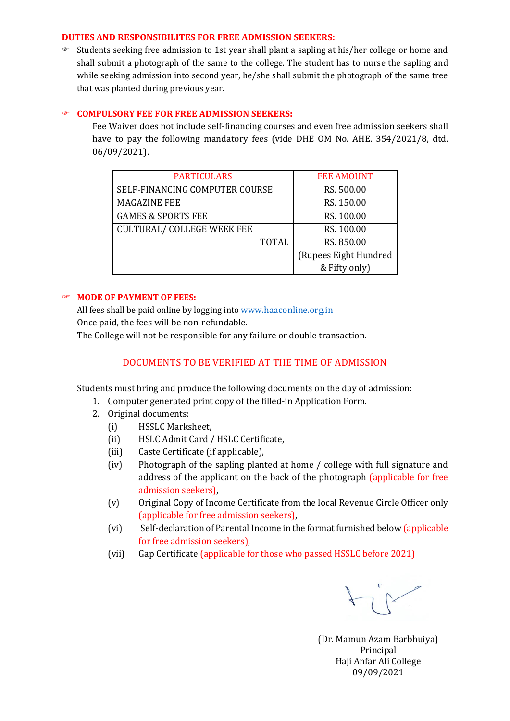#### **DUTIES AND RESPONSIBILITES FOR FREE ADMISSION SEEKERS:**

 $\infty$  Students seeking free admission to 1st year shall plant a sapling at his/her college or home and shall submit a photograph of the same to the college. The student has to nurse the sapling and while seeking admission into second year, he/she shall submit the photograph of the same tree that was planted during previous year.

#### **COMPULSORY FEE FOR FREE ADMISSION SEEKERS:**

Fee Waiver does not include self-financing courses and even free admission seekers shall have to pay the following mandatory fees (vide DHE OM No. AHE. 354/2021/8, dtd. 06/09/2021).

| <b>PARTICULARS</b>                | <b>FEE AMOUNT</b>     |
|-----------------------------------|-----------------------|
| SELF-FINANCING COMPUTER COURSE    | RS. 500.00            |
| <b>MAGAZINE FEE</b>               | RS. 150.00            |
| <b>GAMES &amp; SPORTS FEE</b>     | RS. 100.00            |
| <b>CULTURAL/ COLLEGE WEEK FEE</b> | RS. 100.00            |
| <b>TOTAL</b>                      | RS. 850.00            |
|                                   | (Rupees Eight Hundred |
|                                   | & Fifty only)         |

### **MODE OF PAYMENT OF FEES:**

All fees shall be paid online by logging int[o www.haaconline.org.in](http://www.haaconline.org.in/) Once paid, the fees will be non-refundable.

The College will not be responsible for any failure or double transaction.

## DOCUMENTS TO BE VERIFIED AT THE TIME OF ADMISSION

Students must bring and produce the following documents on the day of admission:

- 1. Computer generated print copy of the filled-in Application Form.
- 2. Original documents:
	- (i) HSSLC Marksheet,
	- (ii) HSLC Admit Card / HSLC Certificate,
	- (iii) Caste Certificate (if applicable),
	- (iv) Photograph of the sapling planted at home / college with full signature and address of the applicant on the back of the photograph (applicable for free admission seekers),
	- (v) Original Copy of Income Certificate from the local Revenue Circle Officer only (applicable for free admission seekers),
	- (vi) Self-declaration of Parental Income in the format furnished below (applicable for free admission seekers),
	- (vii) Gap Certificate (applicable for those who passed HSSLC before 2021)

(Dr. Mamun Azam Barbhuiya) Principal Haji Anfar Ali College 09/09/2021